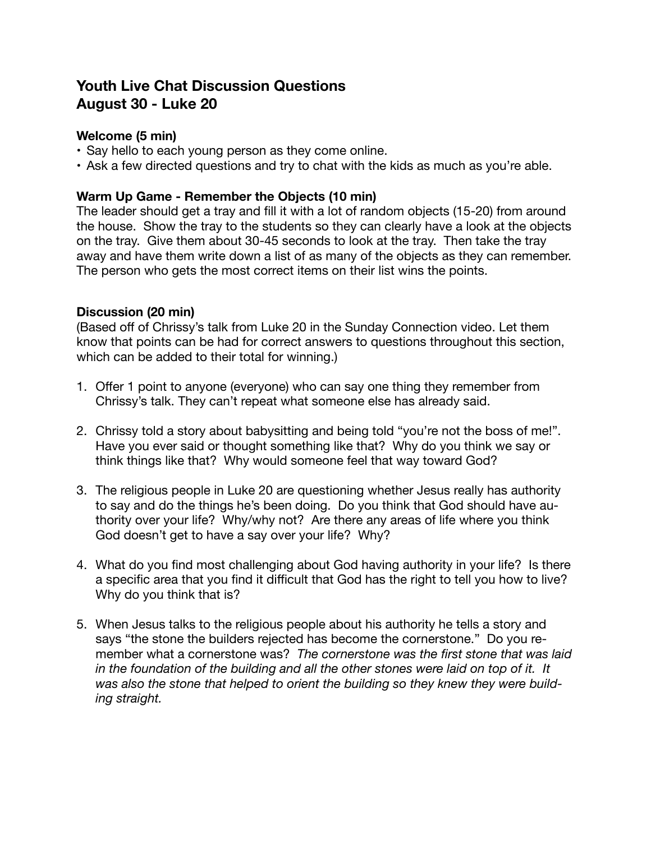# **Youth Live Chat Discussion Questions August 30 - Luke 20**

# **Welcome (5 min)**

- Say hello to each young person as they come online.
- Ask a few directed questions and try to chat with the kids as much as you're able.

## **Warm Up Game - Remember the Objects (10 min)**

The leader should get a tray and fill it with a lot of random objects (15-20) from around the house. Show the tray to the students so they can clearly have a look at the objects on the tray. Give them about 30-45 seconds to look at the tray. Then take the tray away and have them write down a list of as many of the objects as they can remember. The person who gets the most correct items on their list wins the points.

#### **Discussion (20 min)**

(Based off of Chrissy's talk from Luke 20 in the Sunday Connection video. Let them know that points can be had for correct answers to questions throughout this section, which can be added to their total for winning.)

- 1. Offer 1 point to anyone (everyone) who can say one thing they remember from Chrissy's talk. They can't repeat what someone else has already said.
- 2. Chrissy told a story about babysitting and being told "you're not the boss of me!". Have you ever said or thought something like that? Why do you think we say or think things like that? Why would someone feel that way toward God?
- 3. The religious people in Luke 20 are questioning whether Jesus really has authority to say and do the things he's been doing. Do you think that God should have authority over your life? Why/why not? Are there any areas of life where you think God doesn't get to have a say over your life? Why?
- 4. What do you find most challenging about God having authority in your life? Is there a specific area that you find it difficult that God has the right to tell you how to live? Why do you think that is?
- 5. When Jesus talks to the religious people about his authority he tells a story and says "the stone the builders rejected has become the cornerstone." Do you remember what a cornerstone was? *The cornerstone was the first stone that was laid in the foundation of the building and all the other stones were laid on top of it. It was also the stone that helped to orient the building so they knew they were building straight.*